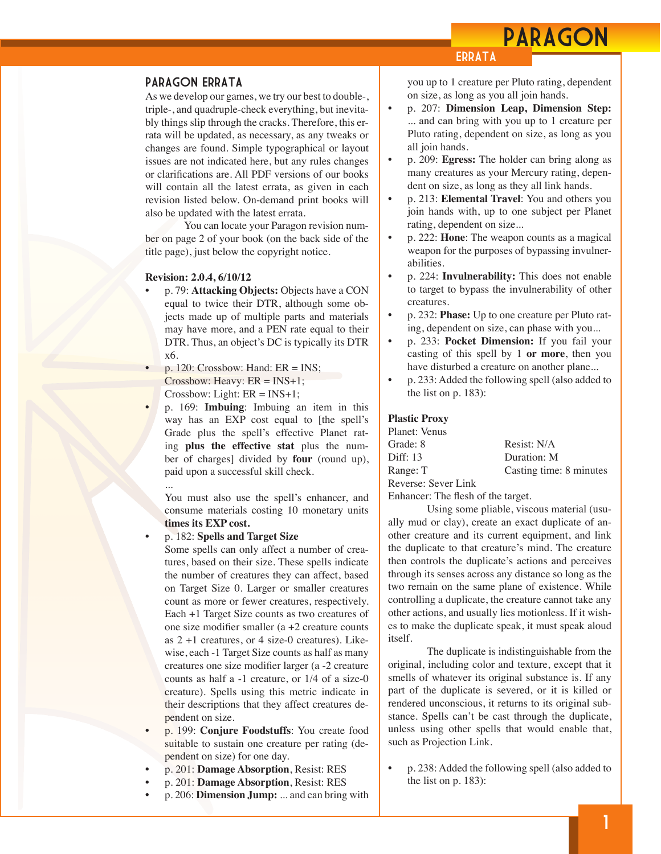## PARAGON

## **ERRATA**

### Paragon Errata

As we develop our games, we try our best to double-, triple-, and quadruple-check everything, but inevitably things slip through the cracks. Therefore, this errata will be updated, as necessary, as any tweaks or changes are found. Simple typographical or layout issues are not indicated here, but any rules changes or clarifications are. All PDF versions of our books will contain all the latest errata, as given in each revision listed below. On-demand print books will also be updated with the latest errata.

You can locate your Paragon revision number on page 2 of your book (on the back side of the title page), just below the copyright notice.

#### **Revision: 2.0.4, 6/10/12**

- p. 79: **Attacking Objects:** Objects have a CON equal to twice their DTR, although some objects made up of multiple parts and materials may have more, and a PEN rate equal to their DTR. Thus, an object's DC is typically its DTR x6.
- p. 120: Crossbow: Hand: ER = INS; Crossbow: Heavy:  $ER = INS+1$ ;  $Crossbow: Light: ER = INS+1;$ 
	- p. 169: **Imbuing**: Imbuing an item in this way has an EXP cost equal to [the spell's Grade plus the spell's effective Planet rating **plus the effective stat** plus the number of charges] divided by **four** (round up), paid upon a successful skill check.

You must also use the spell's enhancer, and consume materials costing 10 monetary units **times its EXP cost.**

### • p. 182: **Spells and Target Size**

...

Some spells can only affect a number of creatures, based on their size. These spells indicate the number of creatures they can affect, based on Target Size 0. Larger or smaller creatures count as more or fewer creatures, respectively. Each +1 Target Size counts as two creatures of one size modifier smaller (a +2 creature counts as  $2 + 1$  creatures, or 4 size-0 creatures). Likewise, each -1 Target Size counts as half as many creatures one size modifier larger (a -2 creature counts as half a -1 creature, or 1/4 of a size-0 creature). Spells using this metric indicate in their descriptions that they affect creatures dependent on size.

- p. 199: **Conjure Foodstuffs**: You create food suitable to sustain one creature per rating (dependent on size) for one day.
- p. 201: **Damage Absorption**, Resist: RES
- p. 201: **Damage Absorption**, Resist: RES
- p. 206: **Dimension Jump:** ... and can bring with

you up to 1 creature per Pluto rating, dependent on size, as long as you all join hands.

- p. 207: **Dimension Leap, Dimension Step:** ... and can bring with you up to 1 creature per Pluto rating, dependent on size, as long as you all join hands.
- p. 209: **Egress:** The holder can bring along as many creatures as your Mercury rating, dependent on size, as long as they all link hands.
- p. 213: **Elemental Travel**: You and others you join hands with, up to one subject per Planet rating, dependent on size...
- p. 222: **Hone**: The weapon counts as a magical weapon for the purposes of bypassing invulnerabilities.
- p. 224: **Invulnerability:** This does not enable to target to bypass the invulnerability of other creatures.
- p. 232: **Phase:** Up to one creature per Pluto rating, dependent on size, can phase with you...
- p. 233: **Pocket Dimension:** If you fail your casting of this spell by 1 **or more**, then you have disturbed a creature on another plane...
- p. 233: Added the following spell (also added to the list on p. 183):

#### **Plastic Proxy**

| Resist: N/A             |
|-------------------------|
| Duration: M             |
| Casting time: 8 minutes |
|                         |
|                         |

Enhancer: The flesh of the target.

Using some pliable, viscous material (usually mud or clay), create an exact duplicate of another creature and its current equipment, and link the duplicate to that creature's mind. The creature then controls the duplicate's actions and perceives through its senses across any distance so long as the two remain on the same plane of existence. While controlling a duplicate, the creature cannot take any other actions, and usually lies motionless. If it wishes to make the duplicate speak, it must speak aloud itself.

The duplicate is indistinguishable from the original, including color and texture, except that it smells of whatever its original substance is. If any part of the duplicate is severed, or it is killed or rendered unconscious, it returns to its original substance. Spells can't be cast through the duplicate, unless using other spells that would enable that, such as Projection Link.

• p. 238: Added the following spell (also added to the list on p. 183):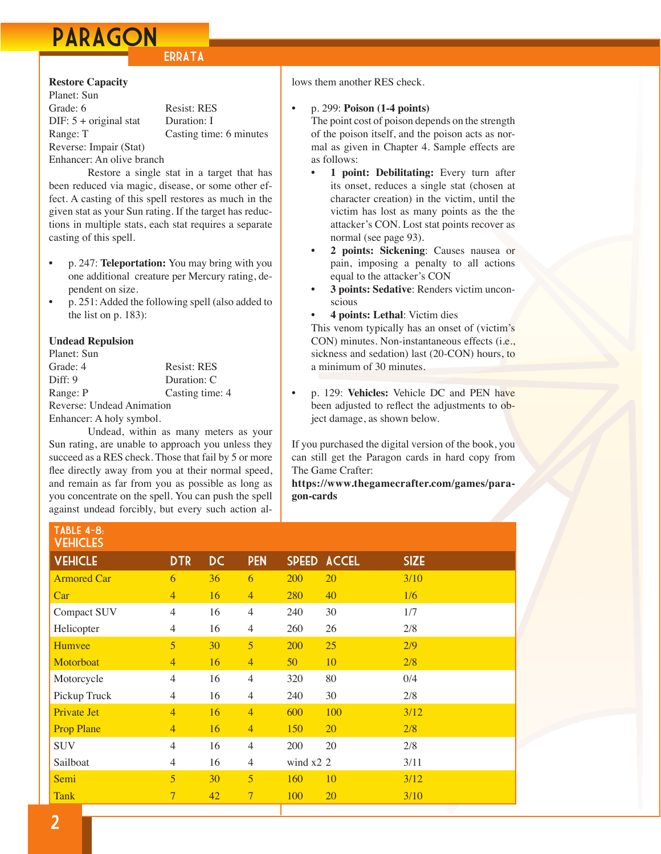# PARAGON

## **ERRATA**

## **Restore Capacity**

Planet: Sun Grade: 6 Resist: RES DIF: 5 + original stat Duration: I Range: T Casting time: 6 minutes Reverse: Impair (Stat)

## Enhancer: An olive branch

Restore a single stat in a target that has been reduced via magic, disease, or some other effect. A casting of this spell restores as much in the given stat as your Sun rating. If the target has reductions in multiple stats, each stat requires a separate casting of this spell.

- p. 247: **Teleportation:** You may bring with you one additional creature per Mercury rating, dependent on size.
- p. 251: Added the following spell (also added to the list on p. 183):

## **Undead Repulsion**

| Planet: Sun               |                    |
|---------------------------|--------------------|
| Grade: 4                  | <b>Resist: RES</b> |
| Diff: 9                   | Duration: C        |
| Range: P                  | Casting time: 4    |
| Reverse: Undead Animation |                    |
| Enhancer: A holy symbol.  |                    |

Undead, within as many meters as your Sun rating, are unable to approach you unless they succeed as a RES check. Those that fail by 5 or more flee directly away from you at their normal speed, and remain as far from you as possible as long as you concentrate on the spell. You can push the spell against undead forcibly, but every such action al-

## lows them another RES check.

## • p. 299: **Poison (1-4 points)**

The point cost of poison depends on the strength of the poison itself, and the poison acts as normal as given in Chapter 4. Sample effects are as follows:

- 1 point: Debilitating: Every turn after its onset, reduces a single stat (chosen at character creation) in the victim, until the victim has lost as many points as the the attacker's CON. Lost stat points recover as normal (see page 93).
- 2 points: Sickening: Causes nausea or pain, imposing a penalty to all actions equal to the attacker's CON
- **3 points: Sedative**: Renders victim unconscious
- **4 points: Lethal:** Victim dies

This venom typically has an onset of (victim's CON) minutes. Non-instantaneous effects (i.e., sickness and sedation) last (20-CON) hours, to a minimum of 30 minutes.

• p. 129: **Vehicles:** Vehicle DC and PEN have been adjusted to reflect the adjustments to object damage, as shown below.

If you purchased the digital version of the book, you can still get the Paragon cards in hard copy from The Game Crafter:

**[https://www.thegamecrafter.com/games/para](https://www.thegamecrafter.com/games/paragon-cards)[gon-cards](https://www.thegamecrafter.com/games/paragon-cards)**

| TABLE 4-8:<br><b>VEHICLES</b> |                |           |                |             |             |             |
|-------------------------------|----------------|-----------|----------------|-------------|-------------|-------------|
| <b>VEHICLE</b>                | <b>DTR</b>     | <b>DC</b> | <b>PEN</b>     |             | SPEED ACCEL | <b>SIZE</b> |
| <b>Armored Car</b>            | 6              | 36        | 6              | 200         | 20          | 3/10        |
| Car                           | $\overline{4}$ | 16        | $\overline{4}$ | 280         | 40          | 1/6         |
| Compact SUV                   | $\overline{4}$ | 16        | $\overline{4}$ | 240         | 30          | 1/7         |
| Helicopter                    | $\overline{4}$ | 16        | $\overline{4}$ | 260         | 26          | 2/8         |
| Humvee                        | 5              | 30        | 5              | <b>200</b>  | 25          | 2/9         |
| Motorboat                     | $\overline{4}$ | 16        | $\overline{4}$ | 50          | 10          | 2/8         |
| Motorcycle                    | $\overline{4}$ | 16        | $\overline{4}$ | 320         | 80          | 0/4         |
| Pickup Truck                  | $\overline{4}$ | 16        | $\overline{4}$ | 240         | 30          | 2/8         |
| Private Jet                   | $\overline{4}$ | 16        | $\overline{4}$ | 600         | 100         | 3/12        |
| <b>Prop Plane</b>             | $\overline{4}$ | <b>16</b> | $\overline{4}$ | 150         | 20          | 2/8         |
| <b>SUV</b>                    | $\overline{4}$ | 16        | $\overline{4}$ | 200         | 20          | 2/8         |
| Sailboat                      | $\overline{4}$ | 16        | $\overline{4}$ | wind $x2$ 2 |             | 3/11        |
| Semi                          | 5              | 30        | 5              | 160         | 10          | 3/12        |
| <b>Tank</b>                   | $\tau$         | 42        | $\overline{7}$ | 100         | <b>20</b>   | 3/10        |